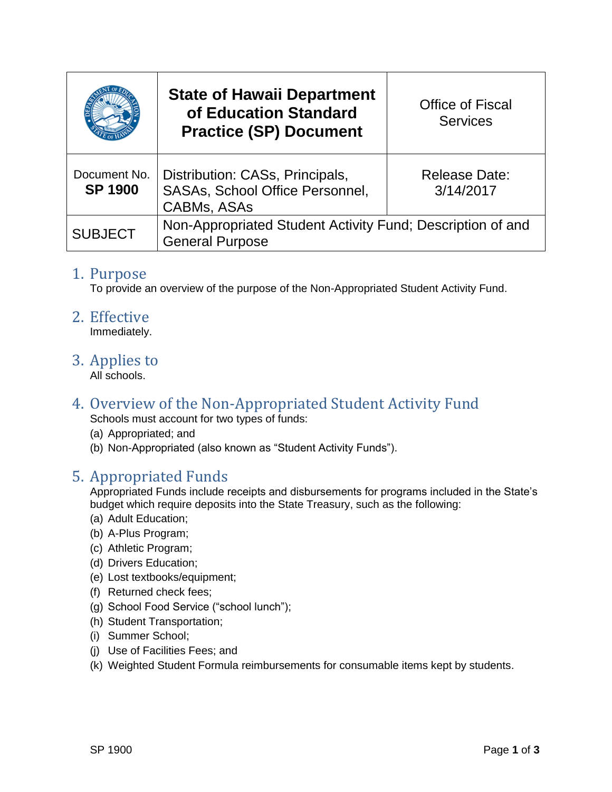|                                | <b>State of Hawaii Department</b><br>of Education Standard<br><b>Practice (SP) Document</b> | <b>Office of Fiscal</b><br><b>Services</b> |
|--------------------------------|---------------------------------------------------------------------------------------------|--------------------------------------------|
| Document No.<br><b>SP 1900</b> | Distribution: CASs, Principals,<br>SASAs, School Office Personnel,<br><b>CABMs, ASAs</b>    | <b>Release Date:</b><br>3/14/2017          |
| <b>SUBJECT</b>                 | Non-Appropriated Student Activity Fund; Description of and<br><b>General Purpose</b>        |                                            |

#### 1. Purpose

To provide an overview of the purpose of the Non-Appropriated Student Activity Fund.

#### 2. Effective

Immediately.

3. Applies to

All schools.

# 4. Overview of the Non-Appropriated Student Activity Fund

Schools must account for two types of funds:

- (a) Appropriated; and
- (b) Non-Appropriated (also known as "Student Activity Funds").

### 5. Appropriated Funds

Appropriated Funds include receipts and disbursements for programs included in the State's budget which require deposits into the State Treasury, such as the following:

- (a) Adult Education;
- (b) A-Plus Program;
- (c) Athletic Program;
- (d) Drivers Education;
- (e) Lost textbooks/equipment;
- (f) Returned check fees;
- (g) School Food Service ("school lunch");
- (h) Student Transportation;
- (i) Summer School;
- (j) Use of Facilities Fees; and
- (k) Weighted Student Formula reimbursements for consumable items kept by students.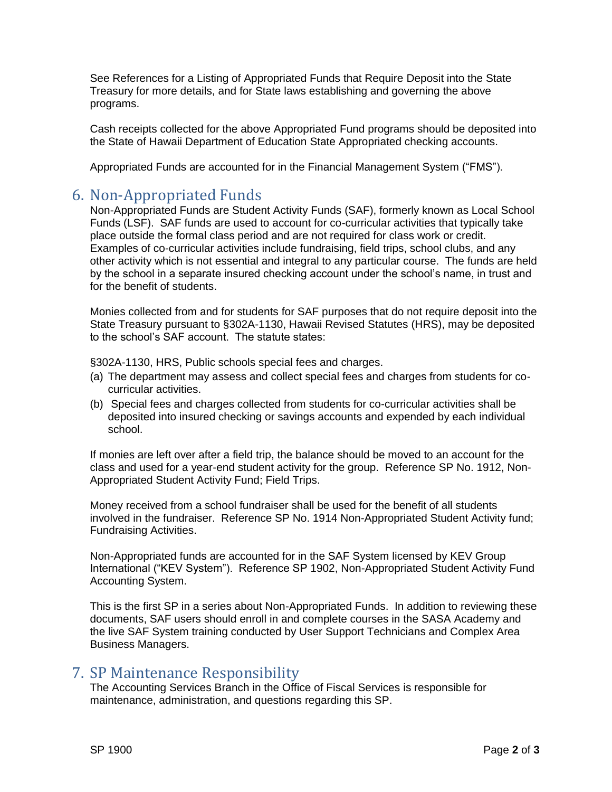See References for a Listing of Appropriated Funds that Require Deposit into the State Treasury for more details, and for State laws establishing and governing the above programs.

Cash receipts collected for the above Appropriated Fund programs should be deposited into the State of Hawaii Department of Education State Appropriated checking accounts.

Appropriated Funds are accounted for in the Financial Management System ("FMS").

#### 6. Non-Appropriated Funds

Non-Appropriated Funds are Student Activity Funds (SAF), formerly known as Local School Funds (LSF). SAF funds are used to account for co-curricular activities that typically take place outside the formal class period and are not required for class work or credit. Examples of co-curricular activities include fundraising, field trips, school clubs, and any other activity which is not essential and integral to any particular course. The funds are held by the school in a separate insured checking account under the school's name, in trust and for the benefit of students.

Monies collected from and for students for SAF purposes that do not require deposit into the State Treasury pursuant to §302A-1130, Hawaii Revised Statutes (HRS), may be deposited to the school's SAF account. The statute states:

§302A-1130, HRS, Public schools special fees and charges.

- (a) The department may assess and collect special fees and charges from students for cocurricular activities.
- (b) Special fees and charges collected from students for co-curricular activities shall be deposited into insured checking or savings accounts and expended by each individual school.

If monies are left over after a field trip, the balance should be moved to an account for the class and used for a year-end student activity for the group. Reference SP No. 1912, Non-Appropriated Student Activity Fund; Field Trips.

Money received from a school fundraiser shall be used for the benefit of all students involved in the fundraiser. Reference SP No. 1914 Non-Appropriated Student Activity fund; Fundraising Activities.

Non-Appropriated funds are accounted for in the SAF System licensed by KEV Group International ("KEV System"). Reference SP 1902, Non-Appropriated Student Activity Fund Accounting System.

This is the first SP in a series about Non-Appropriated Funds. In addition to reviewing these documents, SAF users should enroll in and complete courses in the SASA Academy and the live SAF System training conducted by User Support Technicians and Complex Area Business Managers.

### 7. SP Maintenance Responsibility

The Accounting Services Branch in the Office of Fiscal Services is responsible for maintenance, administration, and questions regarding this SP.